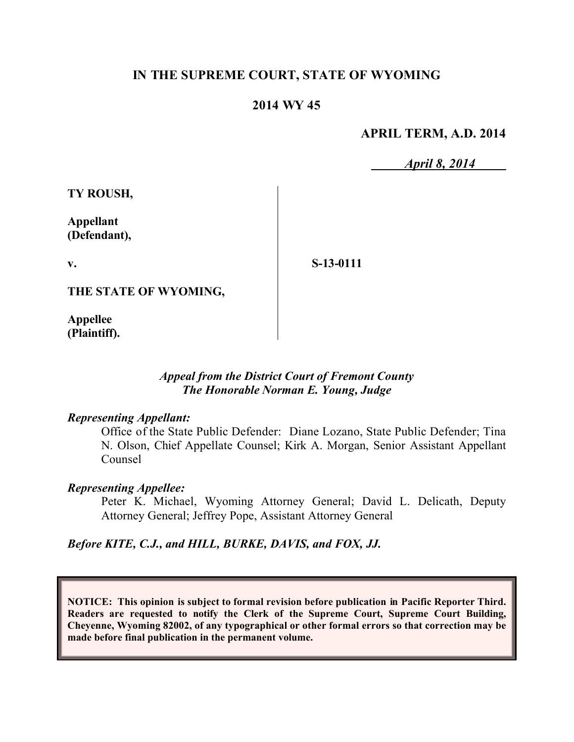# **IN THE SUPREME COURT, STATE OF WYOMING**

# **2014 WY 45**

# **APRIL TERM, A.D. 2014**

*April 8, 2014*

**TY ROUSH,**

**Appellant (Defendant),**

**v.**

**S-13-0111**

**THE STATE OF WYOMING,**

**Appellee (Plaintiff).**

# *Appeal from the District Court of Fremont County The Honorable Norman E. Young, Judge*

### *Representing Appellant:*

Office of the State Public Defender: Diane Lozano, State Public Defender; Tina N. Olson, Chief Appellate Counsel; Kirk A. Morgan, Senior Assistant Appellant Counsel

### *Representing Appellee:*

Peter K. Michael, Wyoming Attorney General; David L. Delicath, Deputy Attorney General; Jeffrey Pope, Assistant Attorney General

*Before KITE, C.J., and HILL, BURKE, DAVIS, and FOX, JJ.*

**NOTICE: This opinion is subject to formal revision before publication in Pacific Reporter Third. Readers are requested to notify the Clerk of the Supreme Court, Supreme Court Building, Cheyenne, Wyoming 82002, of any typographical or other formal errors so that correction may be made before final publication in the permanent volume.**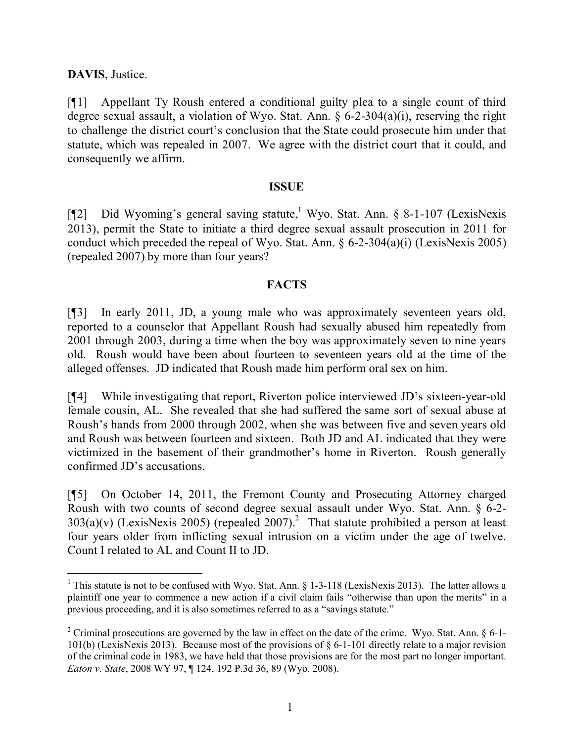# **DAVIS**, Justice.

[¶1] Appellant Ty Roush entered a conditional guilty plea to a single count of third degree sexual assault, a violation of Wyo. Stat. Ann. § 6-2-304(a)(i), reserving the right to challenge the district court's conclusion that the State could prosecute him under that statute, which was repealed in 2007. We agree with the district court that it could, and consequently we affirm.

# **ISSUE**

[¶2] Did Wyoming's general saving statute,<sup>1</sup> Wyo. Stat. Ann. § 8-1-107 (LexisNexis 2013), permit the State to initiate a third degree sexual assault prosecution in 2011 for conduct which preceded the repeal of Wyo. Stat. Ann.  $\S 6$ -2-304(a)(i) (LexisNexis 2005) (repealed 2007) by more than four years?

# **FACTS**

[¶3] In early 2011, JD, a young male who was approximately seventeen years old, reported to a counselor that Appellant Roush had sexually abused him repeatedly from 2001 through 2003, during a time when the boy was approximately seven to nine years old. Roush would have been about fourteen to seventeen years old at the time of the alleged offenses. JD indicated that Roush made him perform oral sex on him.

[¶4] While investigating that report, Riverton police interviewed JD's sixteen-year-old female cousin, AL. She revealed that she had suffered the same sort of sexual abuse at Roush's hands from 2000 through 2002, when she was between five and seven years old and Roush was between fourteen and sixteen. Both JD and AL indicated that they were victimized in the basement of their grandmother's home in Riverton. Roush generally confirmed JD's accusations.

[¶5] On October 14, 2011, the Fremont County and Prosecuting Attorney charged Roush with two counts of second degree sexual assault under Wyo. Stat. Ann. § 6-2-  $303(a)(v)$  (LexisNexis 2005) (repealed 2007).<sup>2</sup> That statute prohibited a person at least four years older from inflicting sexual intrusion on a victim under the age of twelve. Count I related to AL and Count II to JD.

<sup>&</sup>lt;sup>1</sup> This statute is not to be confused with Wyo. Stat. Ann.  $\S$  1-3-118 (LexisNexis 2013). The latter allows a plaintiff one year to commence a new action if a civil claim fails "otherwise than upon the merits" in a previous proceeding, and it is also sometimes referred to as a "savings statute."

<sup>&</sup>lt;sup>2</sup> Criminal prosecutions are governed by the law in effect on the date of the crime. Wyo. Stat. Ann.  $\S$  6-1-101(b) (LexisNexis 2013). Because most of the provisions of § 6-1-101 directly relate to a major revision of the criminal code in 1983, we have held that those provisions are for the most part no longer important. *Eaton v. State*, 2008 WY 97, ¶ 124, 192 P.3d 36, 89 (Wyo. 2008).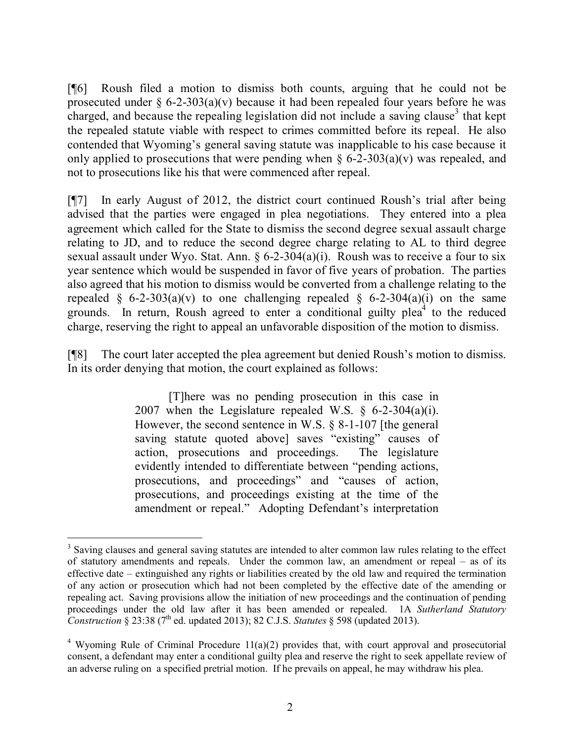[¶6] Roush filed a motion to dismiss both counts, arguing that he could not be prosecuted under  $\S 6$ -2-303(a)(v) because it had been repealed four years before he was charged, and because the repealing legislation did not include a saving clause<sup>3</sup> that kept the repealed statute viable with respect to crimes committed before its repeal. He also contended that Wyoming's general saving statute was inapplicable to his case because it only applied to prosecutions that were pending when  $\S 6$ -2-303(a)(v) was repealed, and not to prosecutions like his that were commenced after repeal.

[¶7] In early August of 2012, the district court continued Roush's trial after being advised that the parties were engaged in plea negotiations. They entered into a plea agreement which called for the State to dismiss the second degree sexual assault charge relating to JD, and to reduce the second degree charge relating to AL to third degree sexual assault under Wyo. Stat. Ann.  $\S 6-2-304(a)(i)$ . Roush was to receive a four to six year sentence which would be suspended in favor of five years of probation. The parties also agreed that his motion to dismiss would be converted from a challenge relating to the repealed § 6-2-303(a)(v) to one challenging repealed § 6-2-304(a)(i) on the same grounds. In return, Roush agreed to enter a conditional guilty plea<sup>4</sup> to the reduced charge, reserving the right to appeal an unfavorable disposition of the motion to dismiss.

[¶8] The court later accepted the plea agreement but denied Roush's motion to dismiss. In its order denying that motion, the court explained as follows:

> [T]here was no pending prosecution in this case in 2007 when the Legislature repealed W.S.  $\S$  6-2-304(a)(i). However, the second sentence in W.S. § 8-1-107 [the general saving statute quoted above] saves "existing" causes of action, prosecutions and proceedings. The legislature evidently intended to differentiate between "pending actions, prosecutions, and proceedings" and "causes of action, prosecutions, and proceedings existing at the time of the amendment or repeal." Adopting Defendant's interpretation

 <sup>3</sup> Saving clauses and general saving statutes are intended to alter common law rules relating to the effect of statutory amendments and repeals. Under the common law, an amendment or repeal – as of its effective date – extinguished any rights or liabilities created by the old law and required the termination of any action or prosecution which had not been completed by the effective date of the amending or repealing act. Saving provisions allow the initiation of new proceedings and the continuation of pending proceedings under the old law after it has been amended or repealed. 1A *Sutherland Statutory Construction* § 23:38 (7th ed. updated 2013); 82 C.J.S. *Statutes* § 598 (updated 2013).

<sup>&</sup>lt;sup>4</sup> Wyoming Rule of Criminal Procedure  $11(a)(2)$  provides that, with court approval and prosecutorial consent, a defendant may enter a conditional guilty plea and reserve the right to seek appellate review of an adverse ruling on a specified pretrial motion. If he prevails on appeal, he may withdraw his plea.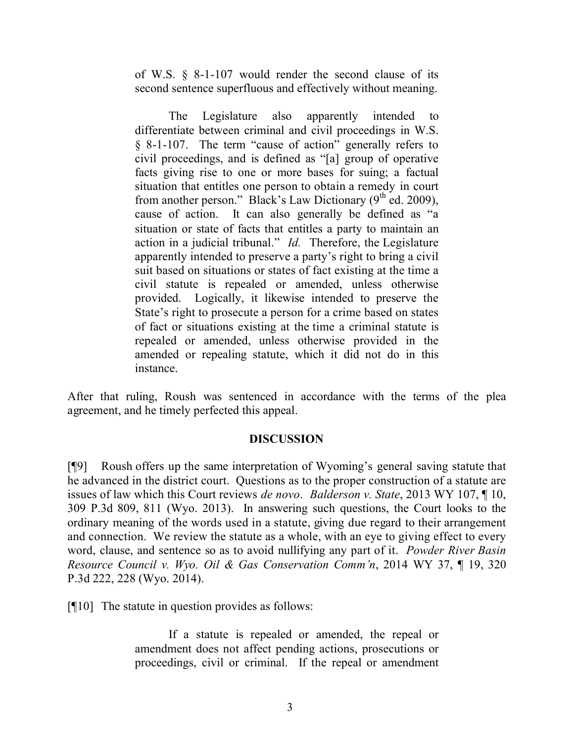of W.S. § 8-1-107 would render the second clause of its second sentence superfluous and effectively without meaning.

The Legislature also apparently intended to differentiate between criminal and civil proceedings in W.S. § 8-1-107. The term "cause of action" generally refers to civil proceedings, and is defined as "[a] group of operative facts giving rise to one or more bases for suing; a factual situation that entitles one person to obtain a remedy in court from another person." Black's Law Dictionary  $(9<sup>th</sup>$  ed. 2009), cause of action. It can also generally be defined as "a situation or state of facts that entitles a party to maintain an action in a judicial tribunal." *Id.* Therefore, the Legislature apparently intended to preserve a party's right to bring a civil suit based on situations or states of fact existing at the time a civil statute is repealed or amended, unless otherwise provided. Logically, it likewise intended to preserve the State's right to prosecute a person for a crime based on states of fact or situations existing at the time a criminal statute is repealed or amended, unless otherwise provided in the amended or repealing statute, which it did not do in this instance.

After that ruling, Roush was sentenced in accordance with the terms of the plea agreement, and he timely perfected this appeal.

# **DISCUSSION**

[¶9] Roush offers up the same interpretation of Wyoming's general saving statute that he advanced in the district court. Questions as to the proper construction of a statute are issues of law which this Court reviews *de novo*. *Balderson v. State*, 2013 WY 107, ¶ 10, 309 P.3d 809, 811 (Wyo. 2013). In answering such questions, the Court looks to the ordinary meaning of the words used in a statute, giving due regard to their arrangement and connection. We review the statute as a whole, with an eye to giving effect to every word, clause, and sentence so as to avoid nullifying any part of it. *Powder River Basin Resource Council v. Wyo. Oil & Gas Conservation Comm'n*, 2014 WY 37, ¶ 19, 320 P.3d 222, 228 (Wyo. 2014).

[¶10] The statute in question provides as follows:

If a statute is repealed or amended, the repeal or amendment does not affect pending actions, prosecutions or proceedings, civil or criminal. If the repeal or amendment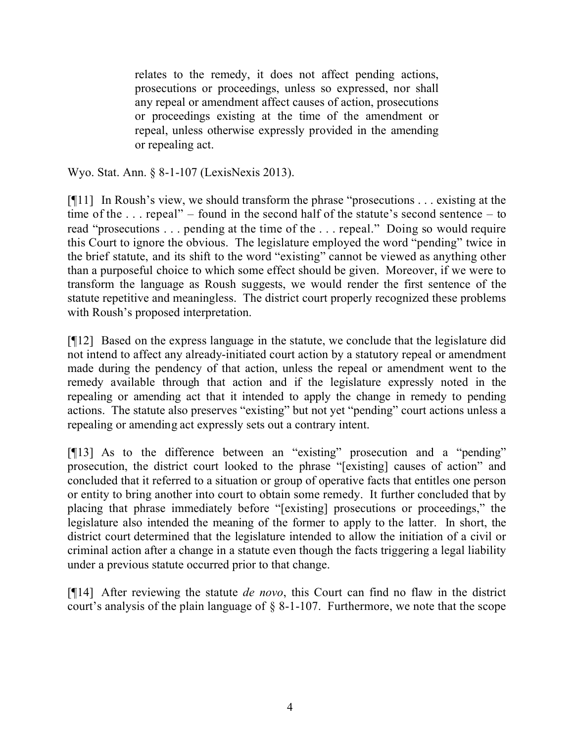relates to the remedy, it does not affect pending actions, prosecutions or proceedings, unless so expressed, nor shall any repeal or amendment affect causes of action, prosecutions or proceedings existing at the time of the amendment or repeal, unless otherwise expressly provided in the amending or repealing act.

Wyo. Stat. Ann. § 8-1-107 (LexisNexis 2013).

[¶11] In Roush's view, we should transform the phrase "prosecutions . . . existing at the time of the . . . repeal" – found in the second half of the statute's second sentence – to read "prosecutions . . . pending at the time of the . . . repeal." Doing so would require this Court to ignore the obvious. The legislature employed the word "pending" twice in the brief statute, and its shift to the word "existing" cannot be viewed as anything other than a purposeful choice to which some effect should be given. Moreover, if we were to transform the language as Roush suggests, we would render the first sentence of the statute repetitive and meaningless. The district court properly recognized these problems with Roush's proposed interpretation.

[¶12] Based on the express language in the statute, we conclude that the legislature did not intend to affect any already-initiated court action by a statutory repeal or amendment made during the pendency of that action, unless the repeal or amendment went to the remedy available through that action and if the legislature expressly noted in the repealing or amending act that it intended to apply the change in remedy to pending actions. The statute also preserves "existing" but not yet "pending" court actions unless a repealing or amending act expressly sets out a contrary intent.

[¶13] As to the difference between an "existing" prosecution and a "pending" prosecution, the district court looked to the phrase "[existing] causes of action" and concluded that it referred to a situation or group of operative facts that entitles one person or entity to bring another into court to obtain some remedy. It further concluded that by placing that phrase immediately before "[existing] prosecutions or proceedings," the legislature also intended the meaning of the former to apply to the latter. In short, the district court determined that the legislature intended to allow the initiation of a civil or criminal action after a change in a statute even though the facts triggering a legal liability under a previous statute occurred prior to that change.

[¶14] After reviewing the statute *de novo*, this Court can find no flaw in the district court's analysis of the plain language of § 8-1-107. Furthermore, we note that the scope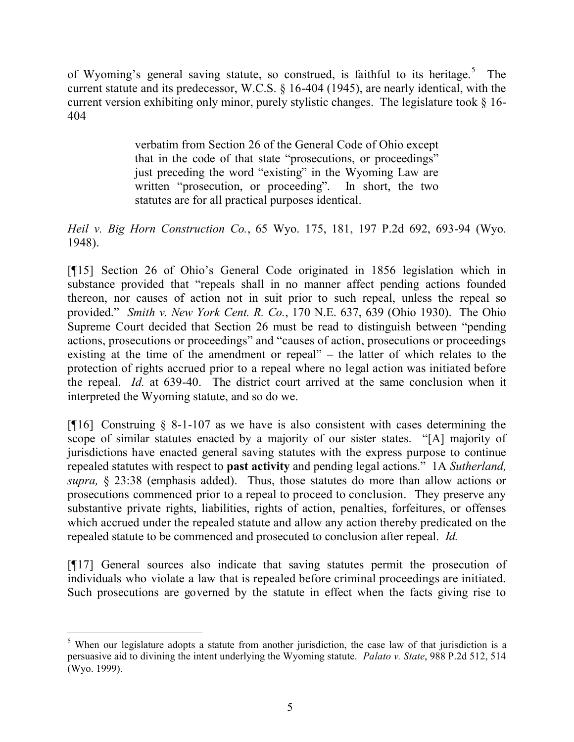of Wyoming's general saving statute, so construed, is faithful to its heritage.<sup>5</sup> The current statute and its predecessor, W.C.S. § 16-404 (1945), are nearly identical, with the current version exhibiting only minor, purely stylistic changes. The legislature took § 16- 404

> verbatim from Section 26 of the General Code of Ohio except that in the code of that state "prosecutions, or proceedings" just preceding the word "existing" in the Wyoming Law are written "prosecution, or proceeding". In short, the two statutes are for all practical purposes identical.

*Heil v. Big Horn Construction Co.*, 65 Wyo. 175, 181, 197 P.2d 692, 693-94 (Wyo. 1948).

[¶15] Section 26 of Ohio's General Code originated in 1856 legislation which in substance provided that "repeals shall in no manner affect pending actions founded thereon, nor causes of action not in suit prior to such repeal, unless the repeal so provided." *Smith v. New York Cent. R. Co.*, 170 N.E. 637, 639 (Ohio 1930). The Ohio Supreme Court decided that Section 26 must be read to distinguish between "pending actions, prosecutions or proceedings" and "causes of action, prosecutions or proceedings existing at the time of the amendment or repeal" – the latter of which relates to the protection of rights accrued prior to a repeal where no legal action was initiated before the repeal. *Id.* at 639-40. The district court arrived at the same conclusion when it interpreted the Wyoming statute, and so do we.

[ $[16]$ ] Construing  $\S$  8-1-107 as we have is also consistent with cases determining the scope of similar statutes enacted by a majority of our sister states. "[A] majority of jurisdictions have enacted general saving statutes with the express purpose to continue repealed statutes with respect to **past activity** and pending legal actions." 1A *Sutherland, supra,* § 23:38 (emphasis added). Thus, those statutes do more than allow actions or prosecutions commenced prior to a repeal to proceed to conclusion. They preserve any substantive private rights, liabilities, rights of action, penalties, forfeitures, or offenses which accrued under the repealed statute and allow any action thereby predicated on the repealed statute to be commenced and prosecuted to conclusion after repeal. *Id.*

[¶17] General sources also indicate that saving statutes permit the prosecution of individuals who violate a law that is repealed before criminal proceedings are initiated. Such prosecutions are governed by the statute in effect when the facts giving rise to

<sup>&</sup>lt;sup>5</sup> When our legislature adopts a statute from another jurisdiction, the case law of that jurisdiction is a persuasive aid to divining the intent underlying the Wyoming statute. *Palato v. State*, 988 P.2d 512, 514 (Wyo. 1999).